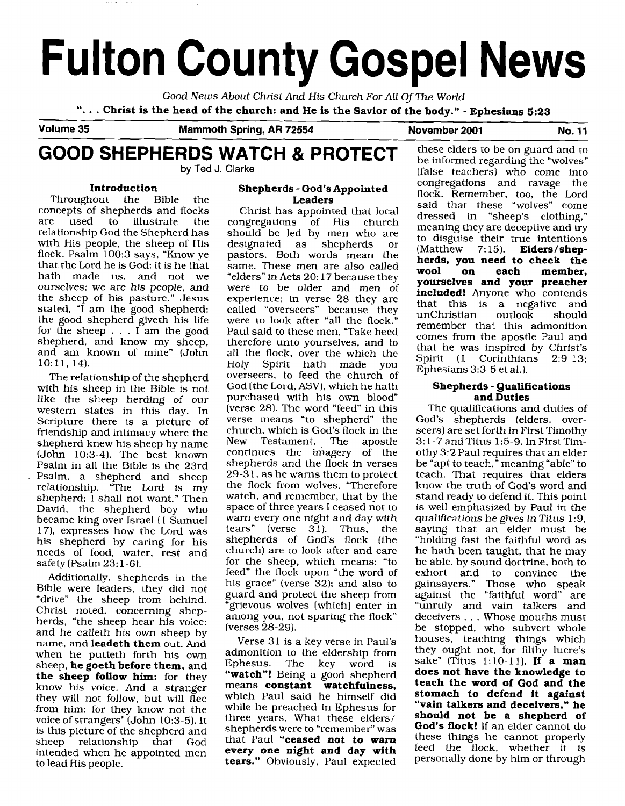# **Fulton County Gospel News**

Good News About Christ And His Church For All Of The World ". . . **Christ is the head of the church: and He is the Savior of the body."** - **Ephesians 5:23** 

**Volume 35 Mammoth Spring, AR 72554** November 2001 No. 11

# GOOD SHEPHERDS WATCH & PROTECT these elders to be on guard and to be  $\frac{1}{2}$  be informed regarding the "wolves" by Ted J. Clarke

#### **Introduction**

Throughout the Bible the concepts of shepherds and flocks illustrate relationship God the Shepherd has with His people, the sheep of His flock. Psalm 100:3 says, "Know ye that the Lord he is God: it is he that hath made us, and not we ourselves; we are his people, and the sheep of his pasture." Jesus stated, "I am the good shepherd: the good shepherd giveth his life for the sheep  $\ldots$  I am the good shepherd, and know my sheep, and am known of mine" (John lO:ll, 14).

The relationship of the shepherd with his sheep in the Bible is not like the sheep herding of our western states in this day. In Scripture there is a picture of friendship and intimacy where the shepherd knew his sheep by name (John 10:3-4). The best known Psalm in all the Bible is the 23rd Psalm, a shepherd and sheep relationship. "The Lord is my shepherd; I shall not want." Then David, the shepherd boy who became king over Israel **(1** Samuel 17), expresses how the Lord was his shepherd by caring for his needs of food, water, rest and safety (Psalm 23: 1-6).

Additionally, shepherds in the Bible were leaders, they did not "drive" the sheep from behind. Christ noted, concerning shepherds, "the sheep hear his voice: and he calleth his own sheep by name, and **leadeth them** out. And when he putteth forth his own sheep, **he goeth before them,** and **the sheep follow him:** for they know his voice. And a stranger they will not follow, but will flee from him: for they know not the voice of strangers" (John 10:3-5). It is this picture of the shepherd and sheep relationship that God intended when he appointed men to lead His people.

#### **Shepherds** - **God's Appointed Leaders**

Christ has appointed that local congregations of His church should be led by men who are<br>designated as shepherds or designated as shepherds pastors. Both words mean the same. These men are also called "elders" in Acts 20: 17 because they were to be older and men of experience; in verse 28 they are called "overseers" because they were to look after "all the flock." Paul said to these men, "Take heed therefore unto yourselves, and to all the flock, over the which the Holy Spirit hath made you overseers, to feed the church of God (the Lord, ASV), which he hath purchased with his own blood" (verse 28). The word "feed" in this verse means "to shepherd" the church. which is God's flock in the New Testament. , The apostle continues the imagery of the shepherds and the flock in verses 29-3 1, as he warns them to protect the flock from wolves. "Therefore watch, and remember, that by the space of three years I ceased not to warn every one night and day with tears" (verse 31). Thus, the shepherds of God's flock (the church) are to look after and care for the sheep, which means: "to feed" the flock upon "the word of his grace" (verse 32); and also to guard and protect the sheep from "grievous wolves [which] enter in among you, not sparing the flock" (verses 28-29].

Verse 31 is a key verse in Paul's admonition to the eldership from<br>Ephesus. The key word is The key **"watch"!** Being a good shepherd means **constant watchfulness,**  which Paul said he himself did while he preached in Ephesus for three years. What these elders/ shepherds were to "remember" was that Paul **"ceased not to warn every one night and day with tears."** Obviously, Paul expected

**by** Ted J. **Clarke** (false teachers) who come into congregations and ravage the flock. Remember, too, the Lord said that these "wolves" come dressed in "sheep's clothing," meaning they are deceptive and try to disguise their true intentions (Matthew 7:15). **Elders/shepherds, you need to check the**  member. **yourselves and your preacher included!** Anyone who contends that this is a negative and unChristian remember that this admonition comes from the apostle Paul and that he was inspired by Christ's Spirit (1 Corinthians 2:9-13; Ephesians 3:3-5 et al.).

#### **Shepherds** - **Qualifications and Duties**

The qualifications and duties of God's shepherds (elders, overseers) are set forth in First Timothy *3:* 1-7 and Titus 1:5-9. In First Timothy 3:2 Paul requires that an elder be "apt to teach," meaning "able" to teach. That requires that elders know the truth of God's word and stand ready to defend it. This point is well emphasized by Paul in the qualifications he gives in Titus 1:9, saying that an elder must be "holding fast the faithful word as he hath been taught, that he may be able, by sound doctrine, both to<br>exhort and to convince the exhort and to convince gainsayers." Those who speak against the "faithful word" are "unruly and vain talkers and deceivers . . . Whose mouths must be stopped, who subvert whole houses, teaching things which they ought not, for filthy lucre's sake" (Titus 1:lO-11). **If a man does not have the knowledge to teach the word of God and the stomach to defend it against "vain talkers and deceivers," he should not be a shepherd of God's flock!** If an elder cannot do these things he cannot properly feed the flock, whether it is personally done by him or through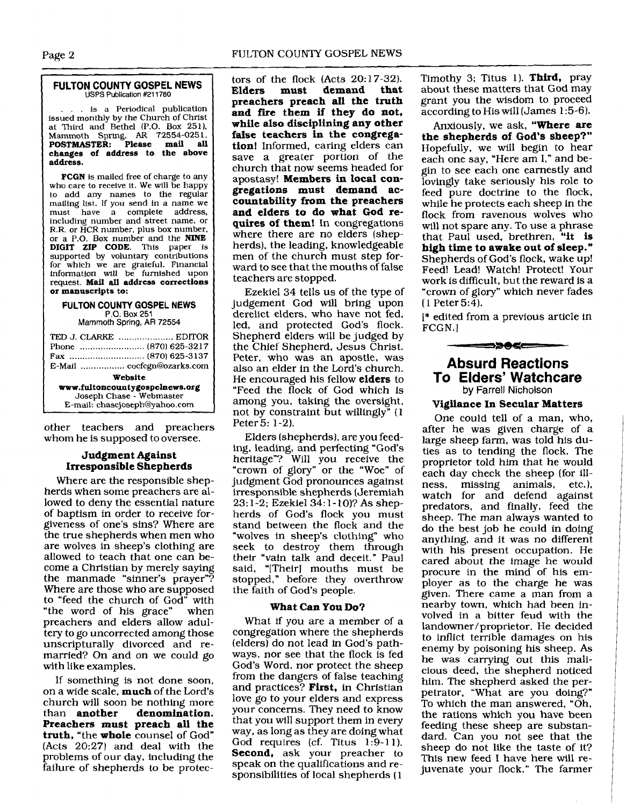#### - - **FULTON COUNTY GOSPEL NEWS**

... is a Periodical publication issued monthly by the Church of Christ at Third and Bethel (P.O. Box **2511,**  Mammoth **Sprtng, AR 72554-025 1. POSTMASTER: Please mail all changes of address to the above address.** 

**USPS Publication #211780** 

**FCGN** is mailed free of charge to any who care to receive it. We **will** be happy to add any names to the regular mailing list. If you send in a name we must have a complete address, including number and street name, or R.R. or HCR number, plus box number, or a P.O. Box number and the **NINE DIGIT ZIP CODE.** This paper is supported by voluntary contributions for which we are grateful. Financial information will be furnished upon request. **Mail all address corrections or manuscripts to:** 

### **FULTON COUNTY GOSPEL NEWS**

**Mammoth Spring, AR 72554** 

| TED J. CLARKE  EDITOR<br>E-Mail  cocfcgn@ozarks.com |  |  |
|-----------------------------------------------------|--|--|
| Website                                             |  |  |
| www.fultoncountygospelnews.org                      |  |  |
| Joseph Chase - Webmaster                            |  |  |
| E-mail: chasejoseph@yahoo.com                       |  |  |

other teachers and preachers whom he is supposed to oversee.

#### **Judgment Against Irresponsible Shepherds**

Where are the responsible shepherds when some preachers are allowed to deny the essential nature of baptism in order to receive forgiveness of one's sins? Where are the true shepherds when men who are wolves in sheep's clothing are allowed to teach that one can become a Christian by merely saying the manmade "sinner's prayer"? Where are those who are supposed to "feed the church of God" with "the word of his grace" when preachers and elders allow adultery to go uncorrected among those unscripturally divorced and remarried? On and on we could go with like examples.

If something is not done soon, on a wide scale, **much** of the Lord's church will soon be nothing more<br>than **another** denomination. denomination. **Preachers must preach all the truth,** "the **whole** counsel of God" (Acts 20:27) and deal with the problems of our day, including the failure of shepherds to be protectors of the flock (Acts 20:17-32).<br>Elders must demand that **Elders must demand that preachers preach all the truth and fire them if they do not, while also disciplining any other false teachers in the congregation!** Informed, caring elders can save a greater portion of the church that now seems headed for apostasy! **Members in local congregations must demand accountability from the preachers and elders to do what God requires of them!** In congregations where there are no elders (shepherds), the leading, knowledgeable men of the church must step forward to see that the mouths of false teachers are stopped.

Ezekiel **34** tells us of the type of judgement God will bring upon derelict elders, who have not fed, led, and protected God's flock. Shepherd elders will be judged by the Chief Shepherd, Jesus Christ. Peter. who was an apostle, was also an elder in the Lord's church. He encouraged his fellow **elders** to "Feed the flock of God which is among you, taking the oversight, not by constraint but willingly" (1 Peter 5: 1-2).

Elders (shepherds), are you feeding, leading, **and** perfecting "God's heritage"? Will you receive the "crown of glory" or the "Woe" of judgment God pronounces against irresponsible shepherds (Jeremiah 23: 1-2; Ezekiel **34:** 1- lo)? As shepherds of God's flock you must stand between the flock and the "wolves in sheep's clothing'' who seek to destroy them through their "vain talk and deceit." Paul said, "[Their] mouths must be stopped," before they overthrow the faith of God's people.

#### **What Can You DO?**

What if you are a member of a congregation where the shepherds (elders) do not lead in God's pathways, nor see that the flock is fed God's Word, nor protect the sheep from the dangers of false teaching and practices? **First,** in Christian love go to your elders and express your concerns. They need to know that you will support them in every way, as long as they are doing what God requires (cf. Titus 1:9-11). **Second,** ask your preacher to speak on the qualifications and responsibilities of local shepherds (1

Timothy **3;** Titus 1). **Third,** pray about these matters that God may grant you the wisdom to proceed according to His will (James 1 **:5-6).** 

Anxiously, we ask, **"Where** are **the shepherds of God's sheep?"**  Hopefully, we will begin to hear each one say, "Here am I," and begin to see each one earnestly and lovingly take seriously his role to feed pure doctrine to the flock, while he protects each sheep in the flock from ravenous wolves who will not spare any. To use a phrase that Paul used, brethren, **"it is high time to awake out of sleep."**  Shepherds of God's flock, wake up! Feed! Lead! Watch! Protect! Your work is difficult, but the reward is a "crown of glory" which never fades  $(1$  Peter 5:4).

I\* edited from a previous article in FCGN. **<sup>I</sup>**

#### ==>>06

#### **Absurd Reactions To Elders' Watchcare**  by Farrell Nicholson

#### **Vigilance** In **Secular Matters**

One could tell of a man, who, after he was given charge of a large sheep farm, was told his duties as to tending the flock. The proprietor told him that he would each day check the sheep (for illness, missing animals, etc.), watch for and defend against predators, and finally, feed the sheep. The man always wanted to do the best job he could in doing anything, and it was no different with his present occupation. He cared about the image he would procure in the mind of his employer as to the charge he was given. There came a man from a nearby town, which had been involved in a bitter feud with the landowner/proprietor. He decided to inflict terrible damages on his enemy by poisoning his sheep. As he was carrying out this malicious deed, the shepherd noticed him. The shepherd asked the perpetrator, "What are you doing?" To which the man answered, "Oh, the rations which you have been feeding these sheep are substandard. Can you not see that the sheep do not like the taste of it? This new feed I have here will rejuvenate your flock." The farmer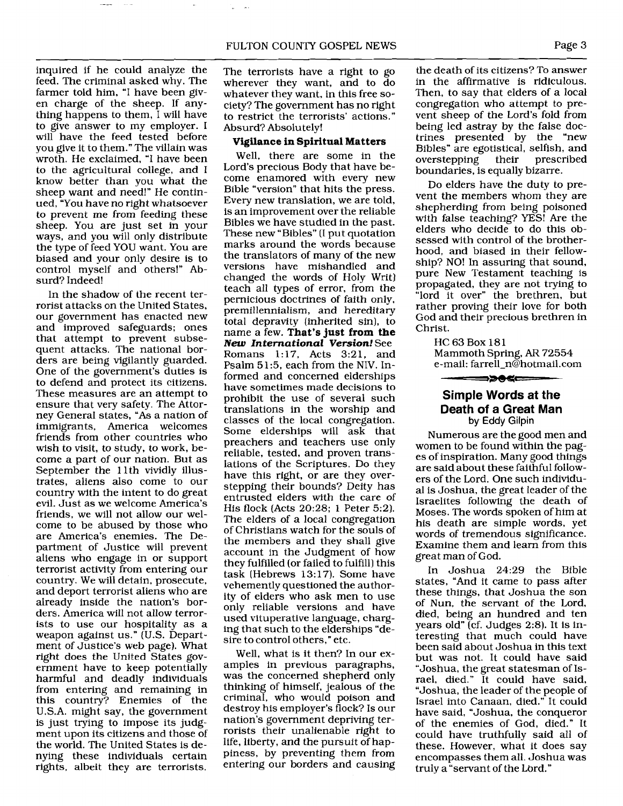inquired if he could analyze the feed. The criminal asked why. The farmer told him, "I have been given charge of the sheep. If anything happens to them, I will have to give answer to my employer. I will have the feed tested before you give it to them." The villain was wroth. He exclaimed, "I have been to the agricultural college, and I know better than you what the sheep want and need!" He continued, "You have no right whatsoever to prevent me from feeding these sheep. You are just set in your ways, and you will only distribute the type of feed YOU want. You are biased and your only desire is to control myself and others!" Absurd? Indeed!

In the shadow of the recent terrorist attacks on the United States, our government has enacted new and improved safeguards; ones that attempt to prevent subsequent attacks. The national borders are being vigilantly guarded. One of the government's duties is to defend and protect its citizens. These measures are an attempt to ensure that very safety. The Attorney General states, "As a nation of immigrants, America welcomes friends from other countries who wish to visit, to study, to work, become a part of our nation. But as September the 11<sup>th</sup> vividly illustrates, aliens also come to our country with the intent to do great evil. Just as we welcome America's friends, we will not allow our welcome to be abused by those who are America's enemies. The Department of Justice will prevent aliens who engage in or support terrorist activity from entering our country. We will detain, prosecute, and deport terrorist aliens who are already inside the nation's borders. America will not allow terrorists to use our hospitality as a weapon against us." (U.S. Department of Justice's web page). What right does the United States government have to keep potentially harmful and deadly individuals from entering and remaining in this country? Enemies of the U.S.A. might say, the government is just trying to impose its judgment upon its citizens and those of the world. The United States is denying these individuals certain rights, albeit they are terrorists.

The terrorists have a right to go wherever they want, and to do whatever they want, in this free society? The government has no right to restrict the terrorists' actions." Absurd? Absolutely!

#### **Vigilance in Spiritual Matters**

Well, there are some in the Lord's precious Body that have become enamored with every new Bible "version" that hits the press. Every new translation, we are told, is an improvement over the reliable Bibles we have studied in the past. These new "Bibles" (I put quotation marks around the words because the translators of many of the new versions have mishandled and changed the words of Holy Writ) teach all types of error, from the pernicious doctrines of faith only, premillennialism, and hereditary total depravity (inherited sin), to name a few. **That's just from the**  *New* **International Version!** See Romans 1:17, Acts 3:21, and Psalm 5 1:5, each from the NIV. Informed and concerned elderships have sometimes made decisions to prohibit the use of several such translations in the worship and classes of the local congregation. Some elderships will ask that preachers and teachers use only reliable, tested, and proven translations of the Scriptures. Do they have this right, or are they overstepping their bounds? Deity has entrusted elders with the care of His flock (Acts 20:28; 1 Peter 5;2). The elders of a local congregation of Christians watch for the souls of the members and they shall give account in the Judgment of how they fulfilled (or failed to fulfill] this task (Hebrews 13:17). Some have vehemently questioned the authority of elders who ask men to use only reliable versions and have used vituperative language, charging that such to the elderships "desire to control others," etc.

Well, what is it then? In our examples in previous paragraphs, was the concerned shepherd only thinking of himself, jealous of the criminal, who would poison and destroy his employer's flock? Is our nation's government depriving terrorists their unalienable right to life, liberty, and the pursuit of happiness, by preventing them from entering our borders and causing

the death of its citizens? To answer in the affirmative is ridiculous. Then, to say that elders of a local congregation who attempt to prevent sheep of the Lord's fold from being led astray by the false doctrines presented by the "new Bibles" are egotistical, selfish, and<br>overstepping their prescribed  $overstepping$ boundaries, is equally bizarre.

Do elders have the duty to prevent the members whom they are shepherding from being poisoned with false teaching? YES! Are the elders who decide to do this obsessed with control of the brotherhood, and biased in their fellowship? NO! In assuring that sound, pure New Testament teaching is propagated, they are not trying to "lord it over" the brethren, but rather proving their love for both God and their precious brethren in Christ.

> HC 63 Box 181 Mammoth Spring, AR 72554 e-mail: farrell~n@hotmail.com

#### **Simple Words at the Death of a Great Man**  by Eddy Gilpin

⇒∍●<≔

Numerous are the good men and women to be found within the pages of inspiration. Many good things are said about these faithful followers of the Lord. One such individual is Joshua, the great leader of the Israelites following the death of Moses. The words spoken of him at his death are simple words, yet words of tremendous significance. Examine them and learn from this great man of God.

In Joshua 24:29 the Bible states, "And it came to pass after these things, that Joshua the son of Nun, the servant of the Lord, died, being an hundred and ten years old"  $\overline{c}$  (cf. Judges 2:8). It is interesting that much could have been said about Joshua in this text but was not. It could have said "Joshua, the great statesman of Israel, died." It could have said, "Joshua, the leader of the people of Israel into Canaan, died." It could have said, "Joshua, the conqueror of the enemies of God, died." It could have truthfully said all of these. However, what it does say encompasses them all. Joshua was truly a "servant of the Lbrd."